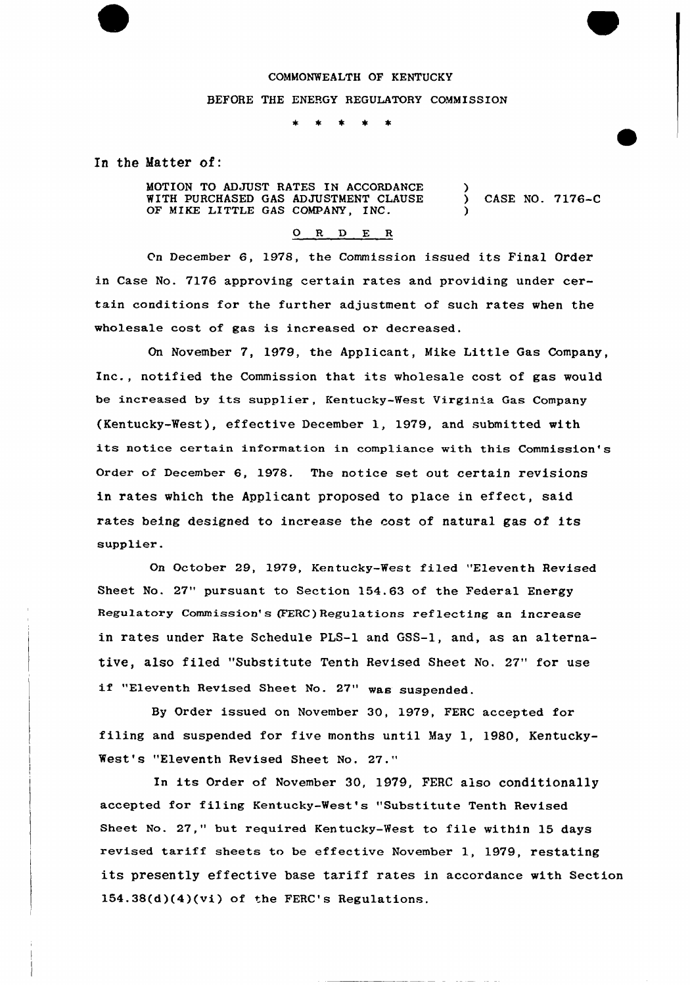## COMMONWEALTH OF KENTUCKY

#### BEFORE THE ENERGY REGULATORY COMMISSION

 $\bullet$  $\bullet$  $\star$ 

In the Matter of:

MOTION TO ADJUST RATES IN ACCORDANCE WITH PURCHASED GAS ADJUSTMENT CLAUSE OF MIKE LITTLE GAS COMPANY, INC. ) ) CASE NO. 7176-C )

## 0 <sup>R</sup> <sup>D</sup> E <sup>R</sup>

On December 6, 1978, the Commission issued its Final Order in Case No. 7176 approving certain rates and providing under certain conditions for the further adjustment of such rates when the wholesale cost of gas is increased or decreased.

On November 7, 1979, the Applicant, Mike Little Gas Company, Inc., notified the Commission that its wholesale cost of gas would be increased by its supplier, Kentucky-West Virginia Gas Company (Kentucky-West), effective December 1, 1979, and submitted with its notice certain information in compliance with this Commission's Order of December 6, 1978. The notice set out certain revisions in rates which the Applicant proposed to place in effect, said rates being designed to increase the cost of natural gas of its supplier.

On October 29, 1979, Kentucky-West fi1ed "Eleventh Revised Sheet No. 27" pursuant to Section 154.63 of the Federal Energy Regulatory Commission's (FERC) Regulations reflecting an increase in rates under Rate Schedule PLS-1 and GSS-1, and, as an alternative, also filed "Substitute Tenth Revised Sheet No, 27" for use "Eleventh Revised Sheet No. 27" was suspended.

By Order issued on November 30, 1979, FERC accepted for filing and suspended for five months until May 1, 1980, Kentucky-West's "Eleventh Revised Sheet No. 27,"

In its Order of November 30, 1979, FERC also conditionally accepted for filing Kentucky-West's "Substitute Tenth Revised Sheet No. 27," but required Kentucky-West to file within 15 days revised tariff sheets to be effective November 1, 1979, restating its presently effective base tariff rates in accordance with Section 154.38(d)(4)(vi) of the FERC's Regulations.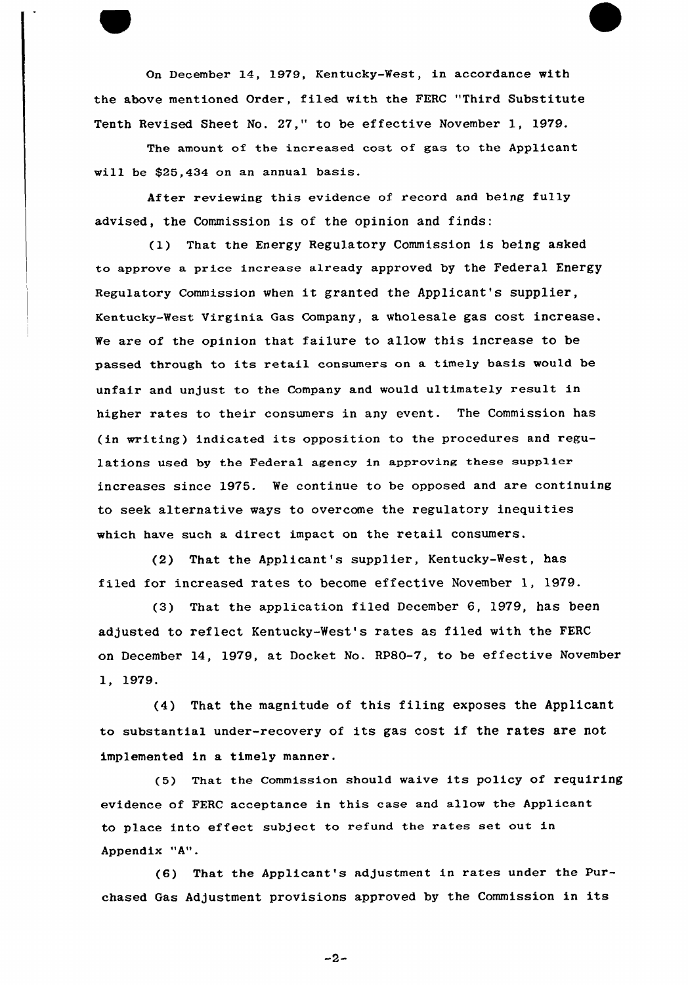On December 14, 1979, Kentucky-Nest, in accordance with the above mentioned Order, filed with the FERC "Third Substitute Tenth Revised Sheet No. 27," to be effective November 1, 1979.

The amount of the increased cost of gas to the Applicant will be \$25,434 on an annual basis.

After reviewing this evidence of record and being fully advised, the Commission is of the opinion and finds:

(l) That the Energy Regulatory Commission is being asked to approve a price increase already approved by the Federal Energy Regulatory commission when it granted the Applicant's supplier, Kentucky-West Virginia Gas Company, a wholesale gas cost increase. We are of the opinion that failure to allow this increase to be passed through to its retail consumers on a timely basis would be unfair and unjust to the Company and would ultimately result in higher rates to their consumers in any event. The Commission has (in writing) indicated its opposition to the procedures and regulations used by the Federal agency in approving these supplier increases since 1975. We continue to be opposed and are continuing to seek alternative ways to overcome the regulatory inequities which have such a direct impact on the retail consumers.

(2) That the Applicant's supplier, Kentucky-West, has filed for increased rates to become effective November 1, 1979.

(3) That the application filed December 6, 1979, has been adjusted to reflect Kentucky-West's rates as filed with the FERC on December 14, 1979, at Docket No. RP80-7, to be effective November 1, 1979.

(4) That the magnitude of this filing exposes the Applicant to substantial under-recovery of its gas cost if the rates are not implemented in a timely manner.

(5) That the Commission should waive its policy of requiring evidence of FERC acceptance in this case and allow the Applicant to place into effect subject to refund the rates set out in Appendix "A".

(6) That the Applicant's adjustment in rates under the Purchased Gas Adjustment provisions approved by the Commission in its

 $-2-$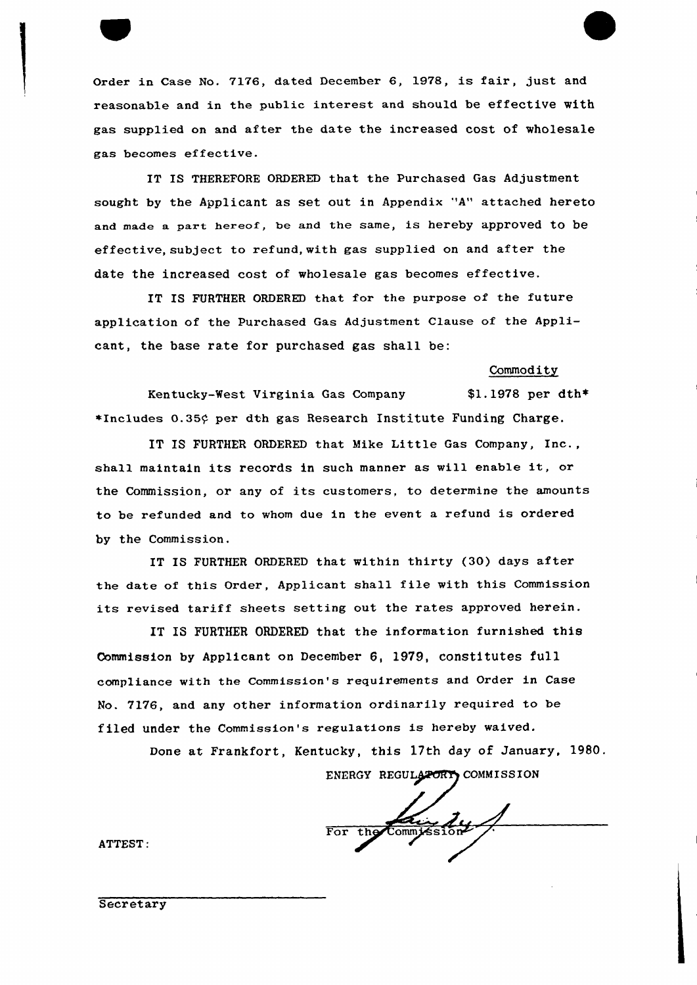

Order in Case No. 7176, dated December 6, 1978, is fair, just and reasonable and in the public interest and should be effective with gas supplied on and after the date the increased cost of wholesale gas becomes effective.

IT IS THEREFORE ORDERED that the Purchased Gas Adjustment sought by the Applicant as set out in Appendix 'A" attached hereto and made a part hereof, be and the same, is hereby approved to be effective, subject to refund, with gas supplied on and after the date the increased cost of wholesale gas becomes effective.

IT IS FURTHER ORDERED that for the purpose of the future application of the Purchased Gas Adjustment Clause of the Applicant, the base rate for purchased gas shall be:

#### Commodity

Kentucky-West Virginia Gas Company  $$1.1978$  per dth\*  $*$ Includes 0.35 $\circ$  per dth gas Research Institute Funding Charge.

IT IS FURTHER ORDERED that Mike Little Gas Company, Inc., shall maintain its records in such manner as will enable it, or the Commission, or any of its customers, to determine the amounts to be refunded and to whom due in the event <sup>a</sup> refund is ordered by the Commission.

IT IS FURTHER ORDERED that within thirty (30) days after the date of this Order, Applicant shall file with this Commission its revised tariff sheets setting out the rates approved herein.

IT IS FURTHER ORDERED that the information furnished this Commission by Applicant on December 6, 1979, constitutes full compliance with the Commission's requirements and Order in Case No. 7176, and any other information ordinarily required to be filed under the Commission's regulations is hereby waived.

Done at Frankfort, Kentucky, this 17th day of January, 1980.

ENERGY REGULATORY COMMISSION

For the Commission

ATTEST: